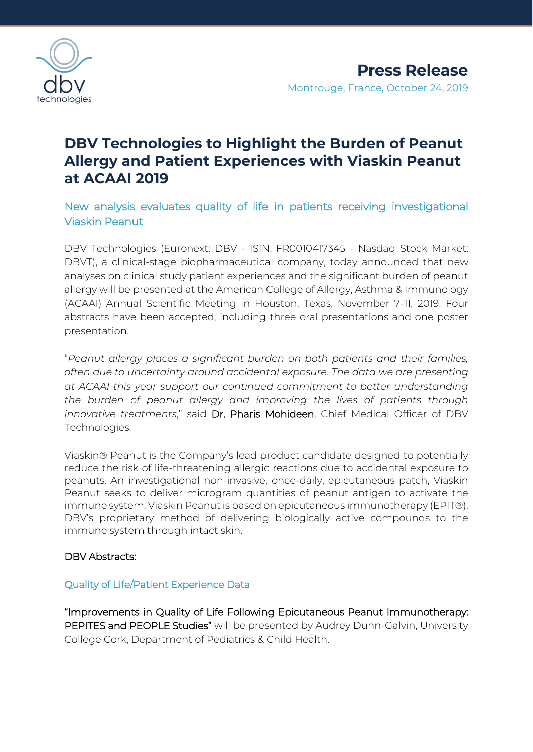

# **DBV Technologies to Highlight the Burden of Peanut Allergy and Patient Experiences with Viaskin Peanut at ACAAI 2019**

New analysis evaluates quality of life in patients receiving investigational Viaskin Peanut

DBV Technologies (Euronext: DBV - ISIN: FR0010417345 - Nasdaq Stock Market: DBVT), a clinical-stage biopharmaceutical company, today announced that new analyses on clinical study patient experiences and the significant burden of peanut allergy will be presented at the American College of Allergy, Asthma & Immunology (ACAAI) Annual Scientific Meeting in Houston, Texas, November 7-11, 2019. Four abstracts have been accepted, including three oral presentations and one poster presentation.

"*Peanut allergy places a significant burden on both patients and their families, often due to uncertainty around accidental exposure. The data we are presenting at ACAAI this year support our continued commitment to better understanding the burden of peanut allergy and improving the lives of patients through innovative treatments*," said Dr. Pharis Mohideen, Chief Medical Officer of DBV Technologies.

Viaskin® Peanut is the Company's lead product candidate designed to potentially reduce the risk of life-threatening allergic reactions due to accidental exposure to peanuts. An investigational non-invasive, once-daily, epicutaneous patch, Viaskin Peanut seeks to deliver microgram quantities of peanut antigen to activate the immune system. Viaskin Peanut is based on epicutaneous immunotherapy (EPIT®), DBV's proprietary method of delivering biologically active compounds to the immune system through intact skin.

### DBV Abstracts:

### Quality of Life/Patient Experience Data

"Improvements in Quality of Life Following Epicutaneous Peanut Immunotherapy: PEPITES and PEOPLE Studies" will be presented by Audrey Dunn-Galvin, University College Cork, Department of Pediatrics & Child Health.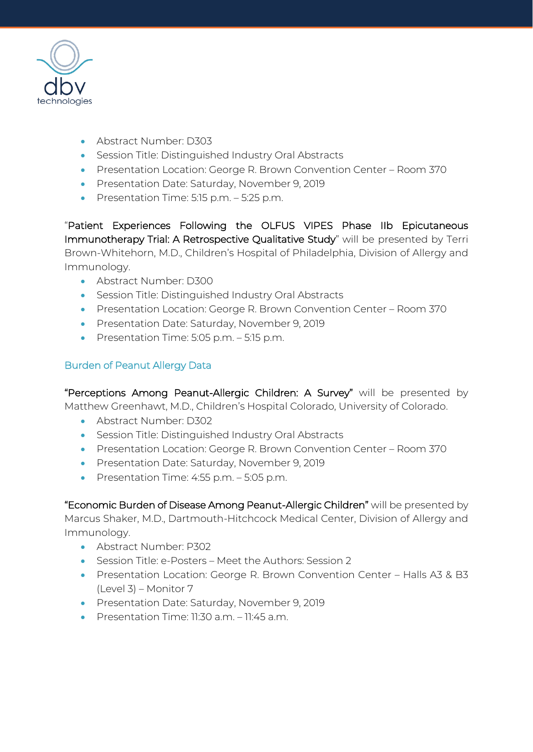

- Abstract Number: D303
- Session Title: Distinguished Industry Oral Abstracts
- Presentation Location: George R. Brown Convention Center Room 370
- Presentation Date: Saturday, November 9, 2019
- Presentation Time: 5:15 p.m. 5:25 p.m.

"Patient Experiences Following the OLFUS VIPES Phase IIb Epicutaneous Immunotherapy Trial: A Retrospective Qualitative Study" will be presented by Terri Brown-Whitehorn, M.D., Children's Hospital of Philadelphia, Division of Allergy and Immunology.

- Abstract Number: D300
- Session Title: Distinguished Industry Oral Abstracts
- Presentation Location: George R. Brown Convention Center Room 370
- Presentation Date: Saturday, November 9, 2019
- Presentation Time: 5:05 p.m. 5:15 p.m.

## Burden of Peanut Allergy Data

"Perceptions Among Peanut-Allergic Children: A Survey" will be presented by Matthew Greenhawt, M.D., Children's Hospital Colorado, University of Colorado.

- Abstract Number: D302
- Session Title: Distinguished Industry Oral Abstracts
- Presentation Location: George R. Brown Convention Center Room 370
- Presentation Date: Saturday, November 9, 2019
- Presentation Time: 4:55 p.m. 5:05 p.m.

"Economic Burden of Disease Among Peanut-Allergic Children" will be presented by Marcus Shaker, M.D., Dartmouth-Hitchcock Medical Center, Division of Allergy and Immunology.

- Abstract Number: P302
- Session Title: e-Posters Meet the Authors: Session 2
- Presentation Location: George R. Brown Convention Center Halls A3 & B3 (Level 3) – Monitor 7
- Presentation Date: Saturday, November 9, 2019
- Presentation Time: 11:30 a.m. 11:45 a.m.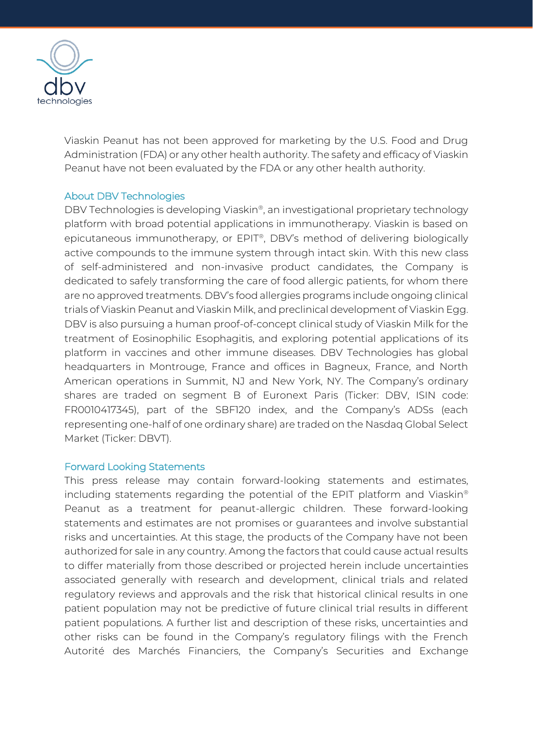

Viaskin Peanut has not been approved for marketing by the U.S. Food and Drug Administration (FDA) or any other health authority. The safety and efficacy of Viaskin Peanut have not been evaluated by the FDA or any other health authority.

### About DBV Technologies

DBV Technologies is developing Viaskin® , an investigational proprietary technology platform with broad potential applications in immunotherapy. Viaskin is based on epicutaneous immunotherapy, or EPIT®, DBV's method of delivering biologically active compounds to the immune system through intact skin. With this new class of self-administered and non-invasive product candidates, the Company is dedicated to safely transforming the care of food allergic patients, for whom there are no approved treatments. DBV's food allergies programs include ongoing clinical trials of Viaskin Peanut and Viaskin Milk, and preclinical development of Viaskin Egg. DBV is also pursuing a human proof-of-concept clinical study of Viaskin Milk for the treatment of Eosinophilic Esophagitis, and exploring potential applications of its platform in vaccines and other immune diseases. DBV Technologies has global headquarters in Montrouge, France and offices in Bagneux, France, and North American operations in Summit, NJ and New York, NY. The Company's ordinary shares are traded on segment B of Euronext Paris (Ticker: DBV, ISIN code: FR0010417345), part of the SBF120 index, and the Company's ADSs (each representing one-half of one ordinary share) are traded on the Nasdaq Global Select Market (Ticker: DBVT).

### Forward Looking Statements

This press release may contain forward-looking statements and estimates, including statements regarding the potential of the EPIT platform and Viaskin® Peanut as a treatment for peanut-allergic children. These forward-looking statements and estimates are not promises or guarantees and involve substantial risks and uncertainties. At this stage, the products of the Company have not been authorized for sale in any country. Among the factors that could cause actual results to differ materially from those described or projected herein include uncertainties associated generally with research and development, clinical trials and related regulatory reviews and approvals and the risk that historical clinical results in one patient population may not be predictive of future clinical trial results in different patient populations. A further list and description of these risks, uncertainties and other risks can be found in the Company's regulatory filings with the French Autorité des Marchés Financiers, the Company's Securities and Exchange